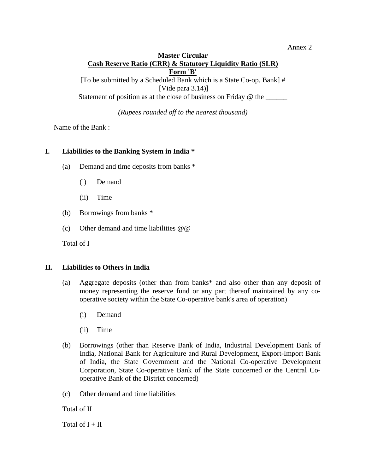#### Annex 2

## **Master Circular Cash Reserve Ratio (CRR) & Statutory Liquidity Ratio (SLR) Form 'B'**

[To be submitted by a Scheduled Bank which is a State Co-op. Bank] # [Vide para 3.14)] Statement of position as at the close of business on Friday @ the \_\_\_\_\_\_\_

*(Rupees rounded off to the nearest thousand)* 

Name of the Bank :

# **I. Liabilities to the Banking System in India \***

- (a) Demand and time deposits from banks \*
	- (i) Demand
	- (ii) Time
- (b) Borrowings from banks \*
- (c) Other demand and time liabilities  $@@$

Total of I

#### **II. Liabilities to Others in India**

- (a) Aggregate deposits (other than from banks\* and also other than any deposit of money representing the reserve fund or any part thereof maintained by any cooperative society within the State Co-operative bank's area of operation)
	- (i) Demand
	- (ii) Time
- (b) Borrowings (other than Reserve Bank of India, Industrial Development Bank of India, National Bank for Agriculture and Rural Development, Export-Import Bank of India, the State Government and the National Co-operative Development Corporation, State Co-operative Bank of the State concerned or the Central Cooperative Bank of the District concerned)
- (c) Other demand and time liabilities

Total of II

Total of  $I + II$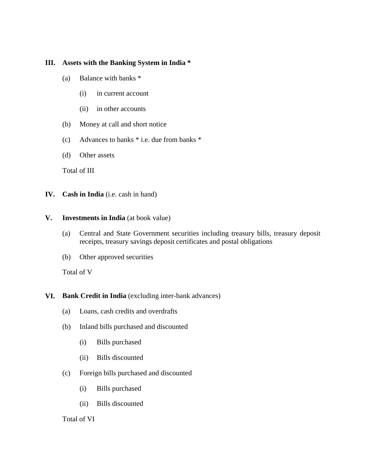# **III. Assets with the Banking System in India \***

- (a) Balance with banks \*
	- (i) in current account
	- (ii) in other accounts
- (b) Money at call and short notice
- (c) Advances to banks \* i.e. due from banks \*
- (d) Other assets

Total of III

**IV. Cash in India** (i.e. cash in hand)

# **V. Investments in India** (at book value)

- (a) Central and State Government securities including treasury bills, treasury deposit receipts, treasury savings deposit certificates and postal obligations
- (b) Other approved securities

Total of V

- **VI. Bank Credit in India** (excluding inter-bank advances)
	- (a) Loans, cash credits and overdrafts
	- (b) Inland bills purchased and discounted
		- (i) Bills purchased
		- (ii) Bills discounted
	- (c) Foreign bills purchased and discounted
		- (i) Bills purchased
		- (ii) Bills discounted

#### Total of VI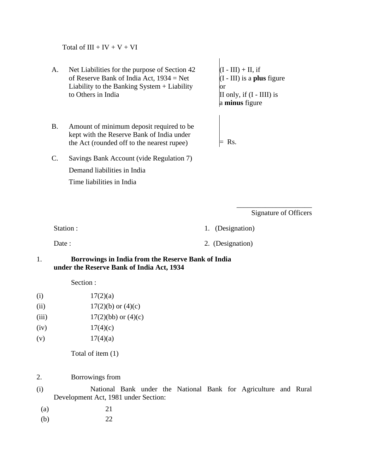Total of  $III + IV + V + VI$ 

- A. of Reserve Bank of India Act, 1934 = Net Liability to the Banking System + Liability to Others in India Net Liabilities for the purpose of Section 42
- B. Amount of minimum deposit required to be kept with the Reserve Bank of India under the Act (rounded off to the nearest rupee)
- $(I III) + II$ , if e (I - III) is a **plus** figur r o II only, if  $(I - III)$  is a **minus** figure

 $=$  Rs.

C. Savings Bank Account (vide Regulation 7) Demand liabilities in India Time liabilities in India

> \_\_\_\_\_\_\_\_\_\_\_\_\_\_\_\_\_\_\_\_\_ Signature of Officers

Station : 1. (Designation)

Date : 2. (Designation)

## 1. **Borrowings in India from the Reserve Bank of India under the Reserve Bank of India Act, 1934**

Section :

- (i)  $17(2)(a)$
- (ii)  $17(2)(b)$  or  $(4)(c)$
- (iii)  $17(2)(bb)$  or  $(4)(c)$
- (iv)  $17(4)(c)$
- (v)  $17(4)(a)$

Total of item (1)

- 2. Borrowings from
- (i) National Bank under the National Bank for Agriculture and Rural Development Act, 1981 under Section:
	- (a) 21
	- (b) 22